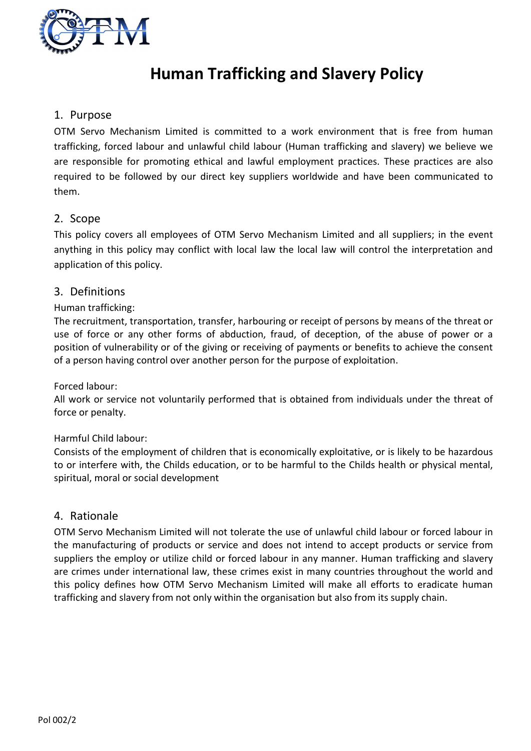

# Human Trafficking and Slavery Policy

# 1. Purpose

OTM Servo Mechanism Limited is committed to a work environment that is free from human trafficking, forced labour and unlawful child labour (Human trafficking and slavery) we believe we are responsible for promoting ethical and lawful employment practices. These practices are also required to be followed by our direct key suppliers worldwide and have been communicated to them.

## 2. Scope

This policy covers all employees of OTM Servo Mechanism Limited and all suppliers; in the event anything in this policy may conflict with local law the local law will control the interpretation and application of this policy.

## 3. Definitions

## Human trafficking:

The recruitment, transportation, transfer, harbouring or receipt of persons by means of the threat or use of force or any other forms of abduction, fraud, of deception, of the abuse of power or a position of vulnerability or of the giving or receiving of payments or benefits to achieve the consent of a person having control over another person for the purpose of exploitation.

#### Forced labour:

All work or service not voluntarily performed that is obtained from individuals under the threat of force or penalty.

## Harmful Child labour:

Consists of the employment of children that is economically exploitative, or is likely to be hazardous to or interfere with, the Childs education, or to be harmful to the Childs health or physical mental, spiritual, moral or social development

## 4. Rationale

OTM Servo Mechanism Limited will not tolerate the use of unlawful child labour or forced labour in the manufacturing of products or service and does not intend to accept products or service from suppliers the employ or utilize child or forced labour in any manner. Human trafficking and slavery are crimes under international law, these crimes exist in many countries throughout the world and this policy defines how OTM Servo Mechanism Limited will make all efforts to eradicate human trafficking and slavery from not only within the organisation but also from its supply chain.